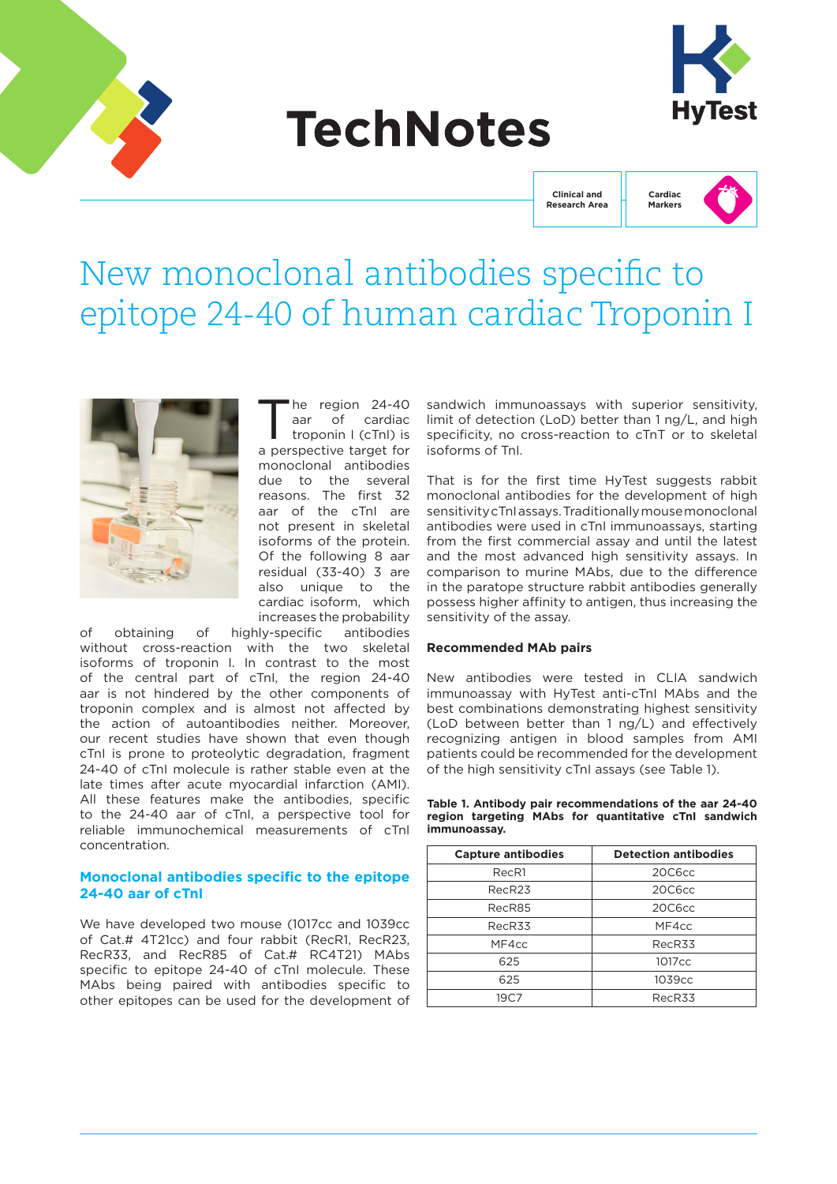

# **TechNotes**



**Clinical and Research Area**



## New monoclonal antibodies specific to epitope 24-40 of human cardiac Troponin I



he region 24-40 aar of cardiac troponin I (cTnI) is a perspective target for monoclonal antibodies due to the several reasons. The first 32 aar of the cTnI are not present in skeletal isoforms of the protein. Of the following 8 aar residual (33-40) 3 are also unique to the cardiac isoform, which increases the probability

of obtaining of highly-specific antibodies without cross-reaction with the two skeletal isoforms of troponin I. In contrast to the most of the central part of cTnI, the region 24-40 aar is not hindered by the other components of troponin complex and is almost not affected by the action of autoantibodies neither. Moreover, our recent studies have shown that even though cTnI is prone to proteolytic degradation, fragment 24-40 of cTnI molecule is rather stable even at the late times after acute myocardial infarction (AMI). All these features make the antibodies, specific to the 24-40 aar of cTnI, a perspective tool for reliable immunochemical measurements of cTnI concentration.

#### **Monoclonal antibodies specific to the epitope 24-40 aar of cTnI**

We have developed two mouse (1017cc and 1039cc of Cat.# 4T21cc) and four rabbit (RecR1, RecR23, RecR33, and RecR85 of Cat.# RC4T21) MAbs specific to epitope 24-40 of cTnI molecule. These MAbs being paired with antibodies specific to other epitopes can be used for the development of sandwich immunoassays with superior sensitivity, limit of detection (LoD) better than 1 ng/L, and high specificity, no cross-reaction to cTnT or to skeletal isoforms of TnI.

That is for the first time HyTest suggests rabbit monoclonal antibodies for the development of high sensitivity cTnI assays. Traditionally mouse monoclonal antibodies were used in cTnI immunoassays, starting from the first commercial assay and until the latest and the most advanced high sensitivity assays. In comparison to murine MAbs, due to the difference in the paratope structure rabbit antibodies generally possess higher affinity to antigen, thus increasing the sensitivity of the assay.

#### **Recommended MAb pairs**

New antibodies were tested in CLIA sandwich immunoassay with HyTest anti-cTnI MAbs and the best combinations demonstrating highest sensitivity (LoD between better than 1 ng/L) and effectively recognizing antigen in blood samples from AMI patients could be recommended for the development of the high sensitivity cTnI assays (see Table 1).

|              |  | Table 1. Antibody pair recommendations of the aar 24-40 |  |
|--------------|--|---------------------------------------------------------|--|
|              |  | region targeting MAbs for quantitative cTnl sandwich    |  |
| immunoassav. |  |                                                         |  |

| <b>Capture antibodies</b> | <b>Detection antibodies</b> |  |  |
|---------------------------|-----------------------------|--|--|
| RecR1                     | 20C6cc                      |  |  |
| RecR <sub>23</sub>        | 20C6cc                      |  |  |
| RecR85                    | 20C6cc                      |  |  |
| RecR33                    | MF4cc                       |  |  |
| MF4cc                     | RecR33                      |  |  |
| 625                       | 1017 <sub>cc</sub>          |  |  |
| 625                       | 1039cc                      |  |  |
| 19C7                      | RecR33                      |  |  |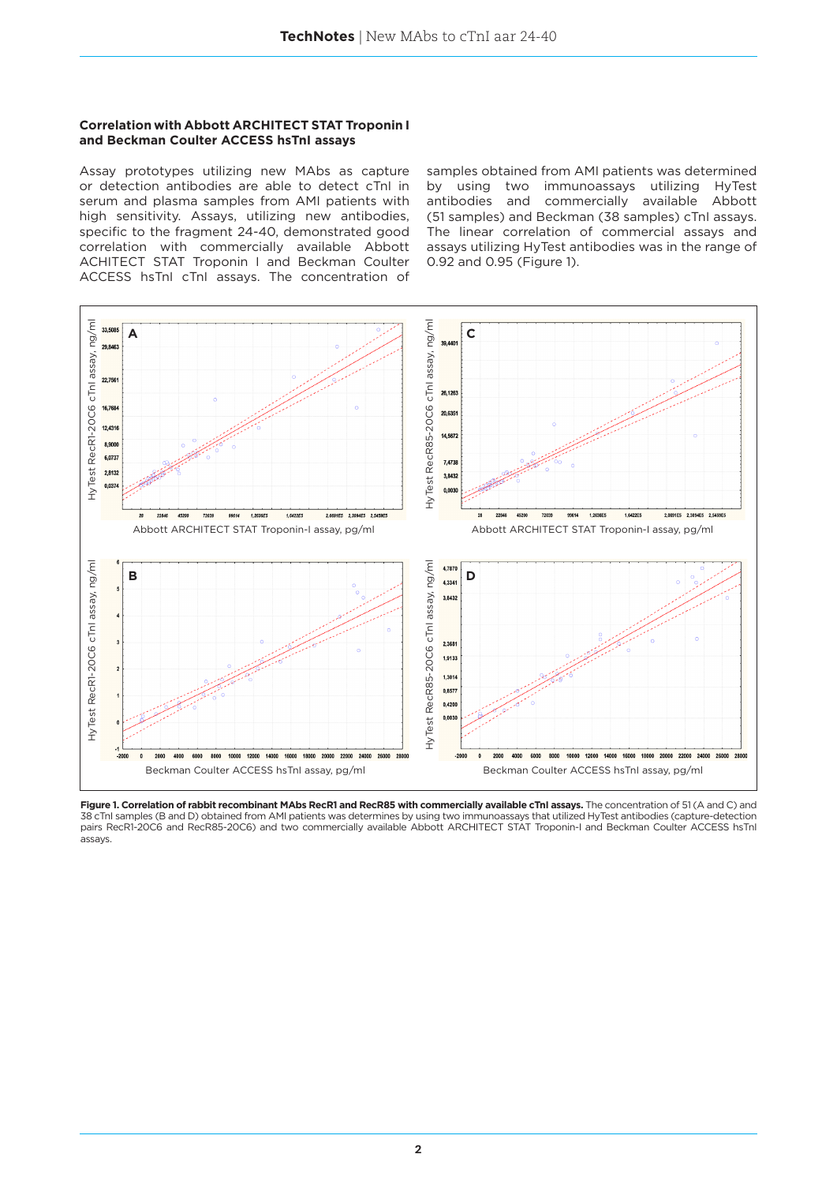#### **Correlation with Abbott ARCHITECT STAT Troponin I and Beckman Coulter ACCESS hsTnI assays**

Assay prototypes utilizing new MAbs as capture or detection antibodies are able to detect cTnI in serum and plasma samples from AMI patients with high sensitivity. Assays, utilizing new antibodies, specific to the fragment 24-40, demonstrated good correlation with commercially available Abbott ACHITECT STAT Troponin I and Beckman Coulter ACCESS hsTnI cTnI assays. The concentration of

samples obtained from AMI patients was determined by using two immunoassays utilizing HyTest antibodies and commercially available Abbott (51 samples) and Beckman (38 samples) cTnI assays. The linear correlation of commercial assays and assays utilizing HyTest antibodies was in the range of 0.92 and 0.95 (Figure 1).



Figure 1. Correlation of rabbit recombinant MAbs RecR1 and RecR85 with commercially available cTnI assays. The concentration of 51 (A and C) and 38 cTnI samples (B and D) obtained from AMI patients was determines by using two immunoassays that utilized HyTest antibodies (capture-detection<br>pairs RecR1-20C6 and RecR85-20C6) and two commercially available Abbott ARCHI assays.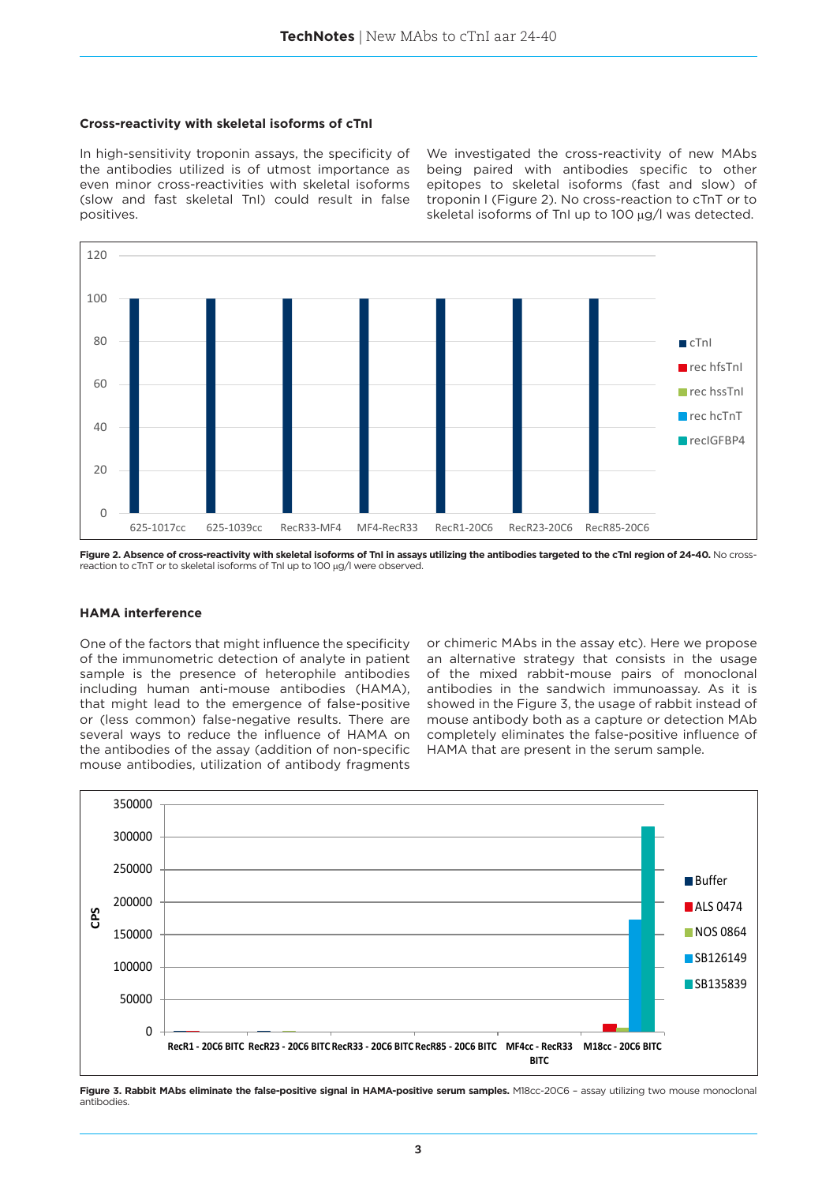#### **Cross-reactivity with skeletal isoforms of cTnI**

In high-sensitivity troponin assays, the specificity of the antibodies utilized is of utmost importance as even minor cross-reactivities with skeletal isoforms (slow and fast skeletal TnI) could result in false positives.

We investigated the cross-reactivity of new MAbs being paired with antibodies specific to other epitopes to skeletal isoforms (fast and slow) of troponin I (Figure 2). No cross-reaction to cTnT or to skeletal isoforms of TnI up to 100 µg/l was detected.



Figure 2. Absence of cross-reactivity with skeletal isoforms of TnI in assays utilizing the antibodies targeted to the cTnI region of 24-40. No crossreaction to cTnT or to skeletal isoforms of TnI up to 100 µg/l were observed.

#### **HAMA interference**

One of the factors that might influence the specificity of the immunometric detection of analyte in patient sample is the presence of heterophile antibodies including human anti-mouse antibodies (HAMA), that might lead to the emergence of false-positive or (less common) false-negative results. There are several ways to reduce the influence of HAMA on the antibodies of the assay (addition of non-specific mouse antibodies, utilization of antibody fragments

or chimeric MAbs in the assay etc). Here we propose an alternative strategy that consists in the usage of the mixed rabbit-mouse pairs of monoclonal antibodies in the sandwich immunoassay. As it is showed in the Figure 3, the usage of rabbit instead of mouse antibody both as a capture or detection MAb completely eliminates the false-positive influence of HAMA that are present in the serum sample.



Figure 3. Rabbit MAbs eliminate the false-positive signal in HAMA-positive serum samples. M18cc-20C6 - assay utilizing two mouse monoclonal antibodies.